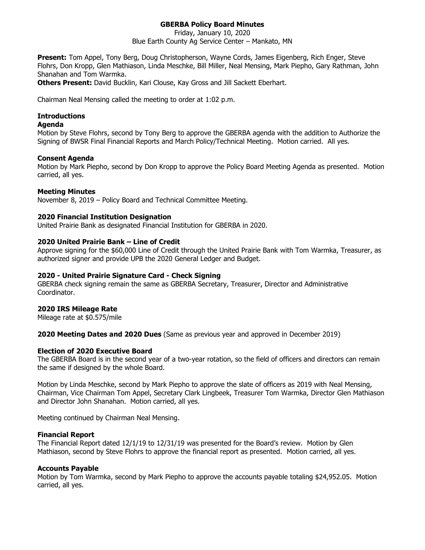# **GBERBA Policy Board Minutes**

Friday, January 10, 2020 Blue Earth County Ag Service Center – Mankato, MN

**Present:** Tom Appel, Tony Berg, Doug Christopherson, Wayne Cords, James Eigenberg, Rich Enger, Steve Flohrs, Don Kropp, Glen Mathiason, Linda Meschke, Bill Miller, Neal Mensing, Mark Piepho, Gary Rathman, John Shanahan and Tom Warmka.

**Others Present:** David Bucklin, Kari Clouse, Kay Gross and Jill Sackett Eberhart.

Chairman Neal Mensing called the meeting to order at 1:02 p.m.

## **Introductions**

#### **Agenda**

Motion by Steve Flohrs, second by Tony Berg to approve the GBERBA agenda with the addition to Authorize the Signing of BWSR Final Financial Reports and March Policy/Technical Meeting. Motion carried. All yes.

## **Consent Agenda**

Motion by Mark Piepho, second by Don Kropp to approve the Policy Board Meeting Agenda as presented. Motion carried, all yes.

## **Meeting Minutes**

November 8, 2019 – Policy Board and Technical Committee Meeting.

## **2020 Financial Institution Designation**

United Prairie Bank as designated Financial Institution for GBERBA in 2020.

## **2020 United Prairie Bank – Line of Credit**

Approve signing for the \$60,000 Line of Credit through the United Prairie Bank with Tom Warmka, Treasurer, as authorized signer and provide UPB the 2020 General Ledger and Budget.

### **2020 - United Prairie Signature Card - Check Signing**

GBERBA check signing remain the same as GBERBA Secretary, Treasurer, Director and Administrative Coordinator.

### **2020 IRS Mileage Rate**

Mileage rate at \$0.575/mile

**2020 Meeting Dates and 2020 Dues** (Same as previous year and approved in December 2019)

### **Election of 2020 Executive Board**

The GBERBA Board is in the second year of a two-year rotation, so the field of officers and directors can remain the same if designed by the whole Board.

Motion by Linda Meschke, second by Mark Piepho to approve the slate of officers as 2019 with Neal Mensing, Chairman, Vice Chairman Tom Appel, Secretary Clark Lingbeek, Treasurer Tom Warmka, Director Glen Mathiason and Director John Shanahan. Motion carried, all yes.

Meeting continued by Chairman Neal Mensing.

### **Financial Report**

The Financial Report dated 12/1/19 to 12/31/19 was presented for the Board's review. Motion by Glen Mathiason, second by Steve Flohrs to approve the financial report as presented. Motion carried, all yes.

### **Accounts Payable**

Motion by Tom Warmka, second by Mark Piepho to approve the accounts payable totaling \$24,952.05. Motion carried, all yes.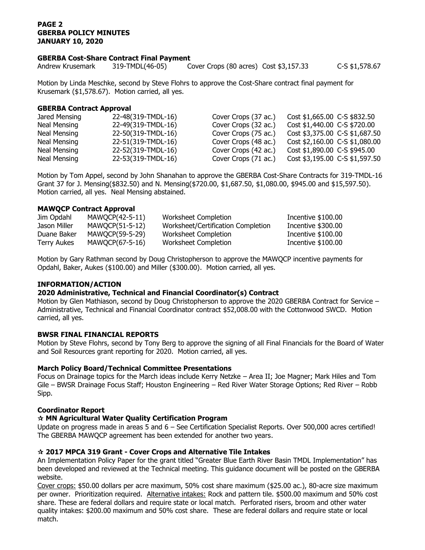## **PAGE 2 GBERBA POLICY MINUTES JANUARY 10, 2020**

### **GBERBA Cost-Share Contract Final Payment**

Andrew Krusemark 319-TMDL(46-05) Cover Crops (80 acres) Cost \$3,157.33 C-S \$1,578.67

Motion by Linda Meschke, second by Steve Flohrs to approve the Cost-Share contract final payment for Krusemark (\$1,578.67). Motion carried, all yes.

### **GBERBA Contract Approval**

| Jared Mensing | 22-48(319-TMDL-16) | Cover Crops (37 ac.) | Cost \$1,665.00 C-S \$832.50   |
|---------------|--------------------|----------------------|--------------------------------|
| Neal Mensing  | 22-49(319-TMDL-16) | Cover Crops (32 ac.) | Cost \$1,440.00 C-S \$720.00   |
| Neal Mensing  | 22-50(319-TMDL-16) | Cover Crops (75 ac.) | Cost \$3,375.00 C-S \$1,687.50 |
| Neal Mensing  | 22-51(319-TMDL-16) | Cover Crops (48 ac.) | Cost \$2,160.00 C-S \$1,080.00 |
| Neal Mensing  | 22-52(319-TMDL-16) | Cover Crops (42 ac.) | Cost \$1,890.00 C-S \$945.00   |
| Neal Mensing  | 22-53(319-TMDL-16) | Cover Crops (71 ac.) | Cost \$3,195.00 C-S \$1,597.50 |

Motion by Tom Appel, second by John Shanahan to approve the GBERBA Cost-Share Contracts for 319-TMDL-16 Grant 37 for J. Mensing(\$832.50) and N. Mensing(\$720.00, \$1,687.50, \$1,080.00, \$945.00 and \$15,597.50). Motion carried, all yes. Neal Mensing abstained.

## **MAWQCP Contract Approval**

| Jim Opdahl   | MAWQCP(42-5-11) | Worksheet Completion               | Incentive \$100.00 |
|--------------|-----------------|------------------------------------|--------------------|
| Jason Miller | MAWOCP(51-5-12) | Worksheet/Certification Completion | Incentive \$300.00 |
| Duane Baker  | MAWOCP(59-5-29) | Worksheet Completion               | Incentive \$100.00 |
| Terry Aukes  | MAWQCP(67-5-16) | Worksheet Completion               | Incentive \$100.00 |

Motion by Gary Rathman second by Doug Christopherson to approve the MAWQCP incentive payments for Opdahl, Baker, Aukes (\$100.00) and Miller (\$300.00). Motion carried, all yes.

## **INFORMATION/ACTION**

## **2020 Administrative, Technical and Financial Coordinator(s) Contract**

Motion by Glen Mathiason, second by Doug Christopherson to approve the 2020 GBERBA Contract for Service – Administrative, Technical and Financial Coordinator contract \$52,008.00 with the Cottonwood SWCD. Motion carried, all yes.

### **BWSR FINAL FINANCIAL REPORTS**

Motion by Steve Flohrs, second by Tony Berg to approve the signing of all Final Financials for the Board of Water and Soil Resources grant reporting for 2020. Motion carried, all yes.

### **March Policy Board/Technical Committee Presentations**

Focus on Drainage topics for the March ideas include Kerry Netzke – Area II; Joe Magner; Mark Hiles and Tom Gile – BWSR Drainage Focus Staff; Houston Engineering – Red River Water Storage Options; Red River – Robb Sipp.

### **Coordinator Report**

## **MN Agricultural Water Quality Certification Program**

Update on progress made in areas 5 and 6 – See Certification Specialist Reports. Over 500,000 acres certified! The GBERBA MAWQCP agreement has been extended for another two years.

### **2017 MPCA 319 Grant - Cover Crops and Alternative Tile Intakes**

An Implementation Policy Paper for the grant titled "Greater Blue Earth River Basin TMDL Implementation" has been developed and reviewed at the Technical meeting. This guidance document will be posted on the GBERBA website.

Cover crops: \$50.00 dollars per acre maximum, 50% cost share maximum (\$25.00 ac.), 80-acre size maximum per owner. Prioritization required. Alternative intakes: Rock and pattern tile. \$500.00 maximum and 50% cost share. These are federal dollars and require state or local match. Perforated risers, broom and other water quality intakes: \$200.00 maximum and 50% cost share. These are federal dollars and require state or local match.